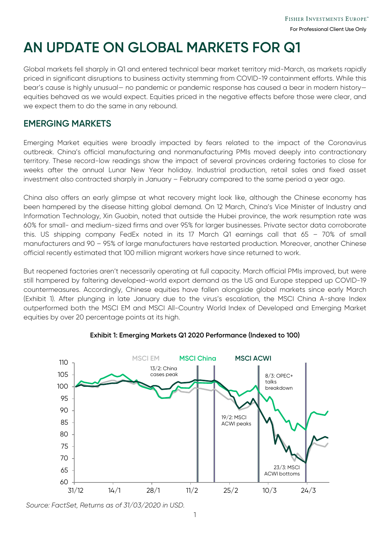# **AN UPDATE ON GLOBAL MARKETS FOR Q1**

Global markets fell sharply in Q1 and entered technical bear market territory mid-March, as markets rapidly priced in significant disruptions to business activity stemming from COVID-19 containment efforts. While this bear's cause is highly unusual— no pandemic or pandemic response has caused a bear in modern history equities behaved as we would expect. Equities priced in the negative effects before those were clear, and we expect them to do the same in any rebound.

### **EMERGING MARKETS**

Emerging Market equities were broadly impacted by fears related to the impact of the Coronavirus outbreak. China's official manufacturing and nonmanufacturing PMIs moved deeply into contractionary territory. These record-low readings show the impact of several provinces ordering factories to close for weeks after the annual Lunar New Year holiday. Industrial production, retail sales and fixed asset investment also contracted sharply in January – February compared to the same period a year ago.

China also offers an early glimpse at what recovery might look like, although the Chinese economy has been hampered by the disease hitting global demand. On 12 March, China's Vice Minister of Industry and Information Technology, Xin Guobin, noted that outside the Hubei province, the work resumption rate was 60% for small- and medium-sized firms and over 95% for larger businesses. Private sector data corroborate this. US shipping company FedEx noted in its 17 March Q1 earnings call that 65 – 70% of small manufacturers and 90 – 95% of large manufacturers have restarted production. Moreover, another Chinese official recently estimated that 100 million migrant workers have since returned to work.

But reopened factories aren't necessarily operating at full capacity. March official PMIs improved, but were still hampered by faltering developed-world export demand as the US and Europe stepped up COVID-19 countermeasures. Accordingly, Chinese equities have fallen alongside global markets since early March (Exhibit 1). After plunging in late January due to the virus's escalation, the MSCI China A-share Index outperformed both the MSCI EM and MSCI All-Country World Index of Developed and Emerging Market equities by over 20 percentage points at its high.



### **Exhibit 1: Emerging Markets Q1 2020 Performance (Indexed to 100)**

*Source: FactSet, Returns as of 31/03/2020 in USD.*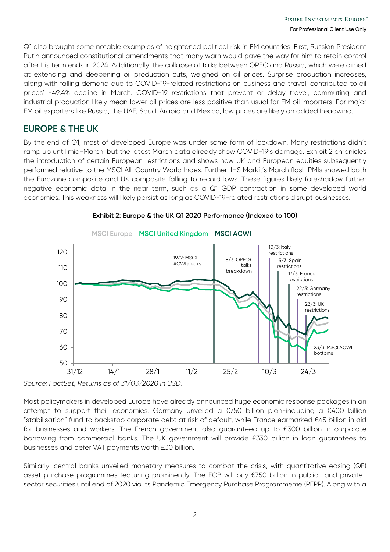Q1 also brought some notable examples of heightened political risk in EM countries. First, Russian President Putin announced constitutional amendments that many warn would pave the way for him to retain control after his term ends in 2024. Additionally, the collapse of talks between OPEC and Russia, which were aimed at extending and deepening oil production cuts, weighed on oil prices. Surprise production increases, along with falling demand due to COVID-19-related restrictions on business and travel, contributed to oil prices' -49.4% decline in March. COVID-19 restrictions that prevent or delay travel, commuting and industrial production likely mean lower oil prices are less positive than usual for EM oil importers. For major EM oil exporters like Russia, the UAE, Saudi Arabia and Mexico, low prices are likely an added headwind.

### **EUROPE & THE UK**

By the end of Q1, most of developed Europe was under some form of lockdown. Many restrictions didn't ramp up until mid-March, but the latest March data already show COVID-19's damage. Exhibit 2 chronicles the introduction of certain European restrictions and shows how UK and European equities subsequently performed relative to the MSCI All-Country World Index. Further, IHS Markit's March flash PMIs showed both the Eurozone composite and UK composite falling to record lows. These figures likely foreshadow further negative economic data in the near term, such as a Q1 GDP contraction in some developed world economies. This weakness will likely persist as long as COVID-19-related restrictions disrupt businesses.



#### **Exhibit 2: Europe & the UK Q1 2020 Performance (Indexed to 100)**

*Source: FactSet, Returns as of 31/03/2020 in USD.*

Most policymakers in developed Europe have already announced huge economic response packages in an attempt to support their economies. Germany unveiled a €750 billion plan-including a €400 billion "stabilisation" fund to backstop corporate debt at risk of default, while France earmarked €45 billion in aid for businesses and workers. The French government also guaranteed up to €300 billion in corporate borrowing from commercial banks. The UK government will provide £330 billion in loan guarantees to businesses and defer VAT payments worth £30 billion.

Similarly, central banks unveiled monetary measures to combat the crisis, with quantitative easing (QE) asset purchase programmes featuring prominently. The ECB will buy €750 billion in public- and privatesector securities until end of 2020 via its Pandemic Emergency Purchase Programmeme (PEPP). Along with a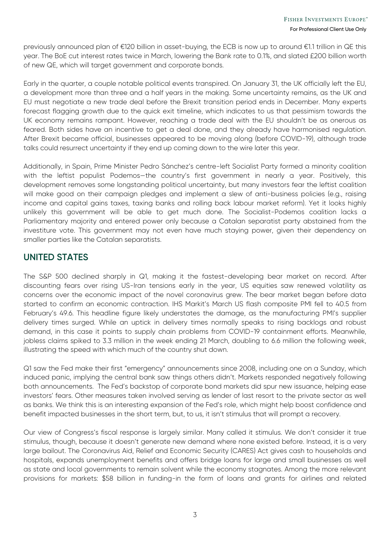previously announced plan of €120 billion in asset-buying, the ECB is now up to around €1.1 trillion in QE this year. The BoE cut interest rates twice in March, lowering the Bank rate to 0.1%, and slated £200 billion worth of new QE, which will target government and corporate bonds.

Early in the quarter, a couple notable political events transpired. On January 31, the UK officially left the EU, a development more than three and a half years in the making. Some uncertainty remains, as the UK and EU must negotiate a new trade deal before the Brexit transition period ends in December. Many experts forecast flagging growth due to the quick exit timeline, which indicates to us that pessimism towards the UK economy remains rampant. However, reaching a trade deal with the EU shouldn't be as onerous as feared. Both sides have an incentive to get a deal done, and they already have harmonised regulation. After Brexit became official, businesses appeared to be moving along (before COVID-19), although trade talks could resurrect uncertainty if they end up coming down to the wire later this year.

Additionally, in Spain, Prime Minister Pedro Sánchez's centre-left Socialist Party formed a minority coalition with the leftist populist Podemos-the country's first government in nearly a year. Positively, this development removes some longstanding political uncertainty, but many investors fear the leftist coalition will make good on their campaign pledges and implement a slew of anti-business policies (e.g., raising income and capital gains taxes, taxing banks and rolling back labour market reform). Yet it looks highly unlikely this government will be able to get much done. The Socialist-Podemos coalition lacks a Parliamentary majority and entered power only because a Catalan separatist party abstained from the investiture vote. This government may not even have much staying power, given their dependency on smaller parties like the Catalan separatists.

### **UNITED STATES**

The S&P 500 declined sharply in Q1, making it the fastest-developing bear market on record. After discounting fears over rising US-Iran tensions early in the year, US equities saw renewed volatility as concerns over the economic impact of the novel coronavirus grew. The bear market began before data started to confirm an economic contraction. IHS Markit's March US flash composite PMI fell to 40.5 from February's 49.6. This headline figure likely understates the damage, as the manufacturing PMI's supplier delivery times surged. While an uptick in delivery times normally speaks to rising backlogs and robust demand, in this case it points to supply chain problems from COVID-19 containment efforts. Meanwhile, jobless claims spiked to 3.3 million in the week ending 21 March, doubling to 6.6 million the following week, illustrating the speed with which much of the country shut down.

Q1 saw the Fed make their first "emergency" announcements since 2008, including one on a Sunday, which induced panic, implying the central bank saw things others didn't. Markets responded negatively following both announcements. The Fed's backstop of corporate bond markets did spur new issuance, helping ease investors' fears. Other measures taken involved serving as lender of last resort to the private sector as well as banks. We think this is an interesting expansion of the Fed's role, which might help boost confidence and benefit impacted businesses in the short term, but, to us, it isn't stimulus that will prompt a recovery.

Our view of Congress's fiscal response is largely similar. Many called it stimulus. We don't consider it true stimulus, though, because it doesn't generate new demand where none existed before. Instead, it is a very large bailout. The Coronavirus Aid, Relief and Economic Security (CARES) Act gives cash to households and hospitals, expands unemployment benefits and offers bridge loans for large and small businesses as well as state and local governments to remain solvent while the economy stagnates. Among the more relevant provisions for markets: \$58 billion in funding-in the form of loans and grants for airlines and related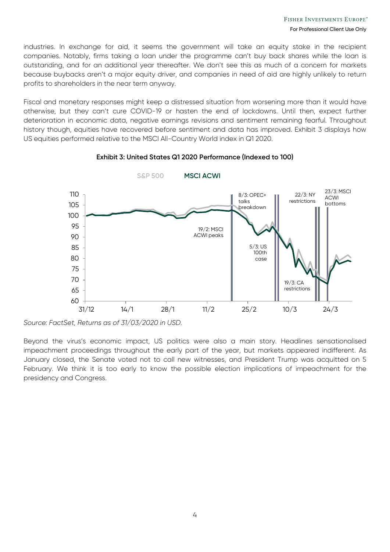industries. In exchange for aid, it seems the government will take an equity stake in the recipient companies. Notably, firms taking a loan under the programme can't buy back shares while the loan is outstanding, and for an additional year thereafter. We don't see this as much of a concern for markets because buybacks aren't a major equity driver, and companies in need of aid are highly unlikely to return profits to shareholders in the near term anyway.

Fiscal and monetary responses might keep a distressed situation from worsening more than it would have otherwise, but they can't cure COVID-19 or hasten the end of lockdowns. Until then, expect further deterioration in economic data, negative earnings revisions and sentiment remaining fearful. Throughout history though, equities have recovered before sentiment and data has improved. Exhibit 3 displays how US equities performed relative to the MSCI All-Country World index in Q1 2020.



### **Exhibit 3: United States Q1 2020 Performance (Indexed to 100)**

*Source: FactSet, Returns as of 31/03/2020 in USD.*

Beyond the virus's economic impact, US politics were also a main story. Headlines sensationalised impeachment proceedings throughout the early part of the year, but markets appeared indifferent. As January closed, the Senate voted not to call new witnesses, and President Trump was acquitted on 5 February. We think it is too early to know the possible election implications of impeachment for the presidency and Congress.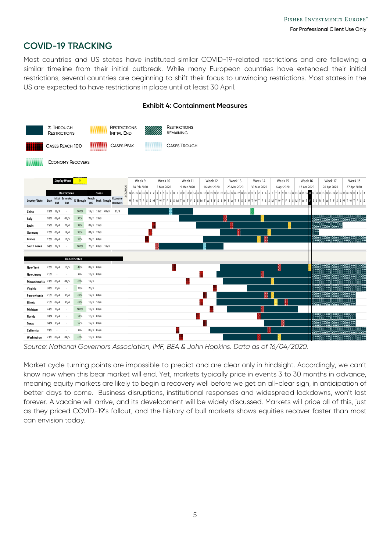### **COVID-19 TRACKING**

Most countries and US states have instituted similar COVID-19-related restrictions and are following a similar timeline from their initial outbreak. While many European countries have extended their initial restrictions, several countries are beginning to shift their focus to unwinding restrictions. Most states in the US are expected to have restrictions in place until at least 30 April.



#### **Exhibit 4: Containment Measures**

*Source: National Governors Association, IMF, BEA & John Hopkins. Data as of 16/04/2020.*

Market cycle turning points are impossible to predict and are clear only in hindsight. Accordingly, we can't know now when this bear market will end. Yet, markets typically price in events 3 to 30 months in advance, meaning equity markets are likely to begin a recovery well before we get an all-clear sign, in anticipation of better days to come. Business disruptions, institutional responses and widespread lockdowns, won't last forever. A vaccine will arrive, and its development will be widely discussed. Markets will price all of this, just as they priced COVID-19's fallout, and the history of bull markets shows equities recover faster than most can envision today.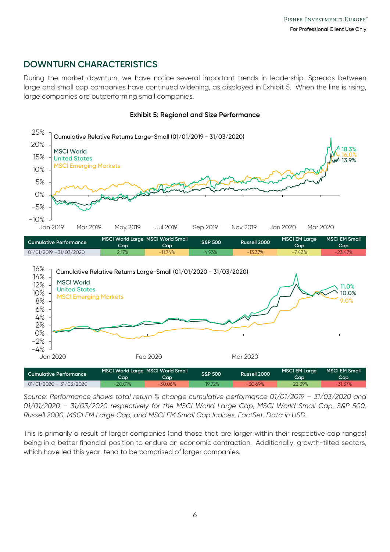### **DOWNTURN CHARACTERISTICS**

–4% <sup>ع</sup><br>10020 Jan

During the market downturn, we have notice several important trends in leadership. Spreads between large and small cap companies have continued widening, as displayed in Exhibit 5. When the line is rising, large companies are outperforming small companies.



#### **Exhibit 5: Regional and Size Performance**

**Cumulative Performance Cap MSCI World Large MSCI World Small Cap S&P 500 Russell 2000 MSCI EM Large Cap MSCI EM Small Cap** 01/01/2020 – 31/03/2020 -20.01% -30.06% -19.72% -30.69% -22.39%

Jan 2020 Feb 2020 Mar 2020

*Source: Performance shows total return % change cumulative performance 01/01/2019 – 31/03/2020 and 01/01/2020 – 31/03/2020 respectively for the MSCI World Large Cap, MSCI World Small Cap, S&P 500, Russell 2000, MSCI EM Large Cap, and MSCI EM Small Cap Indices. FactSet. Data in USD.*

This is primarily a result of larger companies (and those that are larger within their respective cap ranges) being in a better financial position to endure an economic contraction. Additionally, growth-tilted sectors, which have led this year, tend to be comprised of larger companies.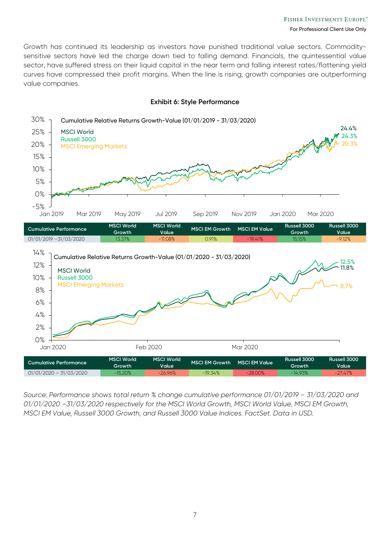Growth has continued its leadership as investors have punished traditional value sectors. Commoditysensitive sectors have led the charge down tied to falling demand. Financials, the quintessential value sector, have suffered stress on their liquid capital in the near term and falling interest rates/flattening yield curves have compressed their profit margins. When the line is rising, growth companies are outperforming value companies.



#### **Exhibit 6: Style Performance**

*Source: Performance shows total return % change cumulative performance 01/01/2019 – 31/03/2020 and 01/01/2020 –31/03/2020 respectively for the MSCI World Growth, MSCI World Value, MSCI EM Growth, MSCI EM Value, Russell 3000 Growth, and Russell 3000 Value Indices. FactSet. Data in USD.*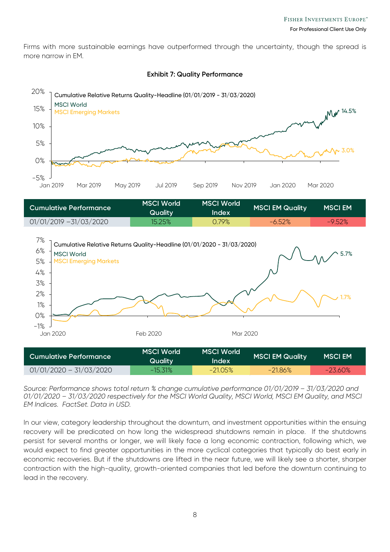Firms with more sustainable earnings have outperformed through the uncertainty, though the spread is more narrow in EM.



#### **Exhibit 7: Quality Performance**

| Cumulative Performance    | <b>MSCI World</b><br><b>Quality</b> | <b>MSCI World</b><br>Index | <b>MSCI EM Quality</b> | <b>MSCI EM</b> |
|---------------------------|-------------------------------------|----------------------------|------------------------|----------------|
| $01/01/2019 - 31/03/2020$ | 15.25%                              | 0.79%                      | $-6.52\%$              | $-9.52%$       |



*Source: Performance shows total return % change cumulative performance 01/01/2019 – 31/03/2020 and 01/01/2020 – 31/03/2020 respectively for the MSCI World Quality, MSCI World, MSCI EM Quality, and MSCI EM Indices. FactSet. Data in USD.*

In our view, category leadership throughout the downturn, and investment opportunities within the ensuing recovery will be predicated on how long the widespread shutdowns remain in place. If the shutdowns persist for several months or longer, we will likely face a long economic contraction, following which, we would expect to find greater opportunities in the more cyclical categories that typically do best early in economic recoveries. But if the shutdowns are lifted in the near future, we will likely see a shorter, sharper contraction with the high-quality, growth-oriented companies that led before the downturn continuing to lead in the recovery.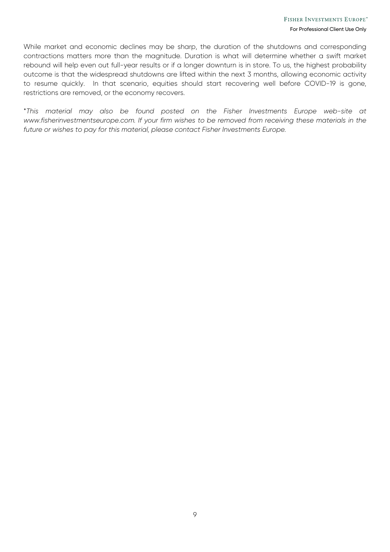While market and economic declines may be sharp, the duration of the shutdowns and corresponding contractions matters more than the magnitude. Duration is what will determine whether a swift market rebound will help even out full-year results or if a longer downturn is in store. To us, the highest probability outcome is that the widespread shutdowns are lifted within the next 3 months, allowing economic activity to resume quickly. In that scenario, equities should start recovering well before COVID-19 is gone, restrictions are removed, or the economy recovers.

\**This material may also be found posted on the Fisher Investments Europe web-site at www.fisherinvestmentseurope.com. If your firm wishes to be removed from receiving these materials in the future or wishes to pay for this material, please contact Fisher Investments Europe.*